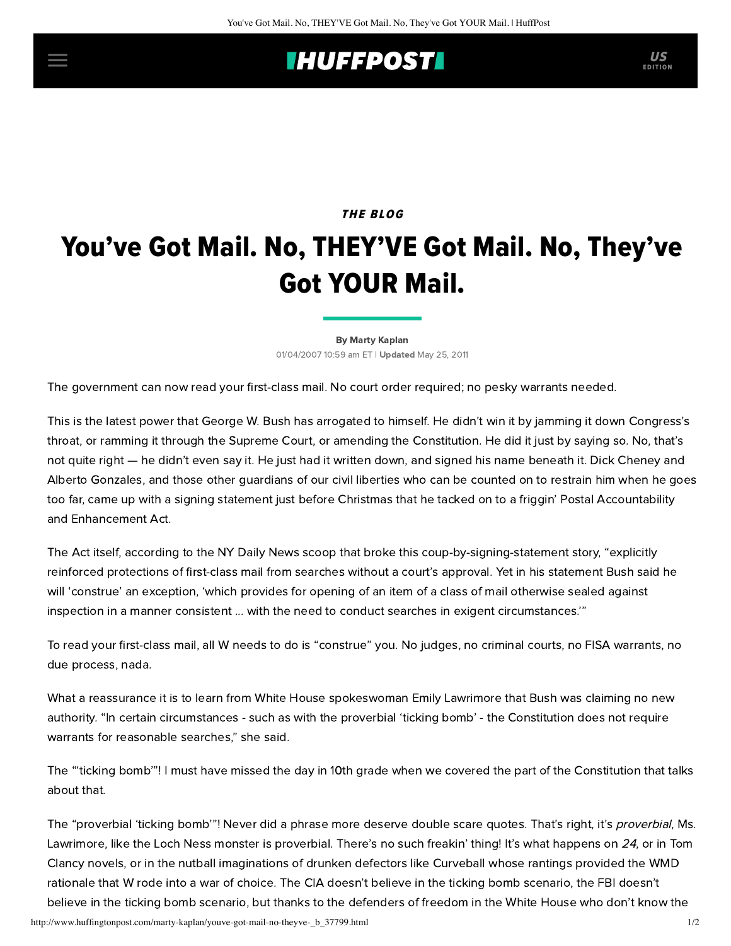## **IHUFFPOSTI** US

## THE BLOG

## You've Got Mail. No, THEY'VE Got Mail. No, They've Got YOUR Mail.

[By Marty Kaplan](http://www.huffingtonpost.com/author/marty-kaplan) 01/04/2007 10:59 am ET | Updated May 25, 2011

The government can now read your first-class mail. No court order required; no pesky warrants needed.

This is the latest power that George W. Bush has arrogated to himself. He didn't win it by jamming it down Congress's throat, or ramming it through the Supreme Court, or amending the Constitution. He did it just by saying so. No, that's not quite right — he didn't even say it. He just had it written down, and signed his name beneath it. Dick Cheney and Alberto Gonzales, and those other guardians of our civil liberties who can be counted on to restrain him when he goes too far, came up with a signing statement just before Christmas that he tacked on to a friggin' Postal Accountability and Enhancement Act.

The Act itself, according to the [NY Daily News](http://www.nydailynews.com/front/story/485561p-408789c.html) scoop that broke this coup-by-signing-statement story, "explicitly reinforced protections of first-class mail from searches without a court's approval. Yet in his statement Bush said he will 'construe' an exception, 'which provides for opening of an item of a class of mail otherwise sealed against inspection in a manner consistent ... with the need to conduct searches in exigent circumstances.'"

To read your first-class mail, all W needs to do is "construe" you. No judges, no criminal courts, no FISA warrants, no due process, nada.

What a reassurance it is to learn from White House spokeswoman Emily Lawrimore that Bush was claiming no new authority. "In certain circumstances - such as with the proverbial 'ticking bomb' - the Constitution does not require warrants for reasonable searches," she said.

The "'ticking bomb'"! I must have missed the day in 10th grade when we covered the part of the Constitution that talks about that.

The "proverbial 'ticking bomb'"! Never did a phrase more deserve double scare quotes. That's right, it's *proverbial*, Ms. Lawrimore, like the Loch Ness monster is proverbial. There's no such freakin' thing! It's what happens on 24, or in Tom Clancy novels, or in the nutball imaginations of drunken defectors like Curveball whose rantings provided the WMD rationale that W rode into a war of choice. The CIA doesn't believe in the ticking bomb scenario, the FBI doesn't believe in the ticking bomb scenario, but thanks to the defenders of freedom in the White House who don't know the